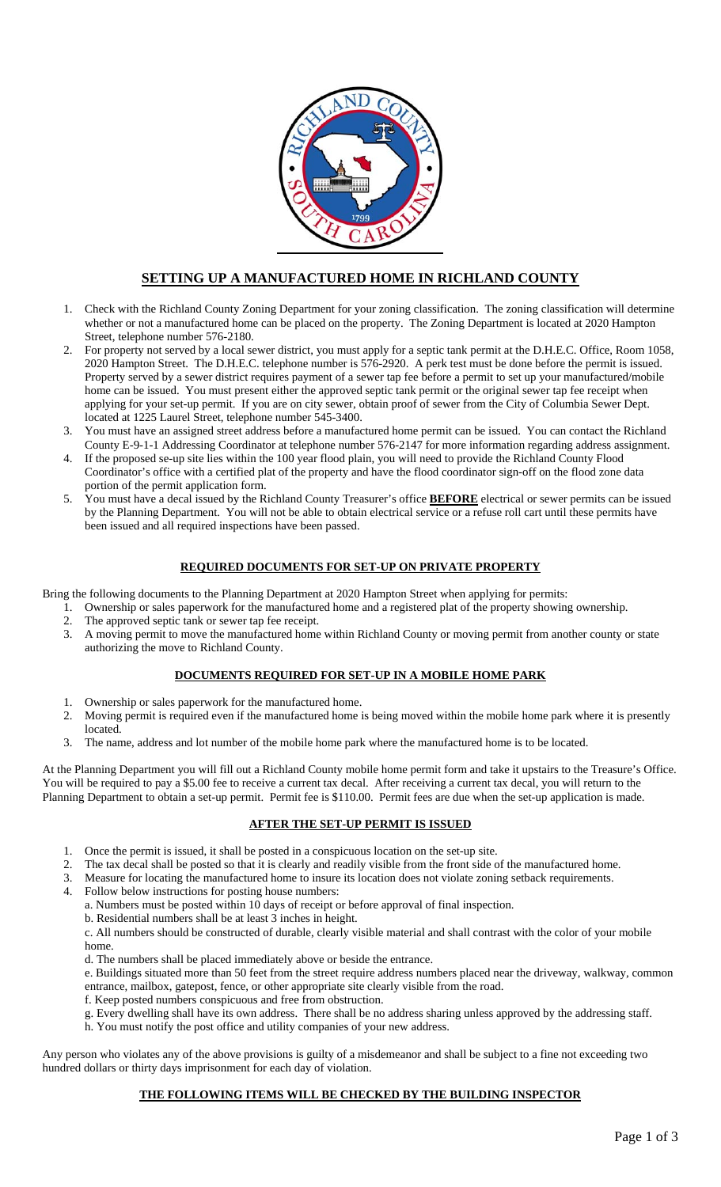

# **SETTING UP A MANUFACTURED HOME IN RICHLAND COUNTY**

- 1. Check with the Richland County Zoning Department for your zoning classification. The zoning classification will determine whether or not a manufactured home can be placed on the property. The Zoning Department is located at 2020 Hampton Street, telephone number 576-2180.
- 2. For property not served by a local sewer district, you must apply for a septic tank permit at the D.H.E.C. Office, Room 1058, 2020 Hampton Street. The D.H.E.C. telephone number is 576-2920. A perk test must be done before the permit is issued. Property served by a sewer district requires payment of a sewer tap fee before a permit to set up your manufactured/mobile home can be issued. You must present either the approved septic tank permit or the original sewer tap fee receipt when applying for your set-up permit. If you are on city sewer, obtain proof of sewer from the City of Columbia Sewer Dept. located at 1225 Laurel Street, telephone number 545-3400.
- 3. You must have an assigned street address before a manufactured home permit can be issued. You can contact the Richland County E-9-1-1 Addressing Coordinator at telephone number 576-2147 for more information regarding address assignment.
- 4. If the proposed se-up site lies within the 100 year flood plain, you will need to provide the Richland County Flood Coordinator's office with a certified plat of the property and have the flood coordinator sign-off on the flood zone data portion of the permit application form.
- 5. You must have a decal issued by the Richland County Treasurer's office **BEFORE** electrical or sewer permits can be issued by the Planning Department. You will not be able to obtain electrical service or a refuse roll cart until these permits have been issued and all required inspections have been passed.

# **REQUIRED DOCUMENTS FOR SET-UP ON PRIVATE PROPERTY**

Bring the following documents to the Planning Department at 2020 Hampton Street when applying for permits:

- 1. Ownership or sales paperwork for the manufactured home and a registered plat of the property showing ownership.
- 2. The approved septic tank or sewer tap fee receipt.
- 3. A moving permit to move the manufactured home within Richland County or moving permit from another county or state authorizing the move to Richland County.

# **DOCUMENTS REQUIRED FOR SET-UP IN A MOBILE HOME PARK**

- 1. Ownership or sales paperwork for the manufactured home.
- 2. Moving permit is required even if the manufactured home is being moved within the mobile home park where it is presently located.
- 3. The name, address and lot number of the mobile home park where the manufactured home is to be located.

At the Planning Department you will fill out a Richland County mobile home permit form and take it upstairs to the Treasure's Office. You will be required to pay a \$5.00 fee to receive a current tax decal. After receiving a current tax decal, you will return to the Planning Department to obtain a set-up permit. Permit fee is \$110.00. Permit fees are due when the set-up application is made.

# **AFTER THE SET-UP PERMIT IS ISSUED**

- 1. Once the permit is issued, it shall be posted in a conspicuous location on the set-up site.
- 2. The tax decal shall be posted so that it is clearly and readily visible from the front side of the manufactured home.
- 3. Measure for locating the manufactured home to insure its location does not violate zoning setback requirements.
- 4. Follow below instructions for posting house numbers:
	- a. Numbers must be posted within 10 days of receipt or before approval of final inspection.
	- b. Residential numbers shall be at least 3 inches in height.

c. All numbers should be constructed of durable, clearly visible material and shall contrast with the color of your mobile home.

- d. The numbers shall be placed immediately above or beside the entrance.
- e. Buildings situated more than 50 feet from the street require address numbers placed near the driveway, walkway, common entrance, mailbox, gatepost, fence, or other appropriate site clearly visible from the road.
- f. Keep posted numbers conspicuous and free from obstruction.
- g. Every dwelling shall have its own address. There shall be no address sharing unless approved by the addressing staff.
- h. You must notify the post office and utility companies of your new address.

Any person who violates any of the above provisions is guilty of a misdemeanor and shall be subject to a fine not exceeding two hundred dollars or thirty days imprisonment for each day of violation.

# **THE FOLLOWING ITEMS WILL BE CHECKED BY THE BUILDING INSPECTOR**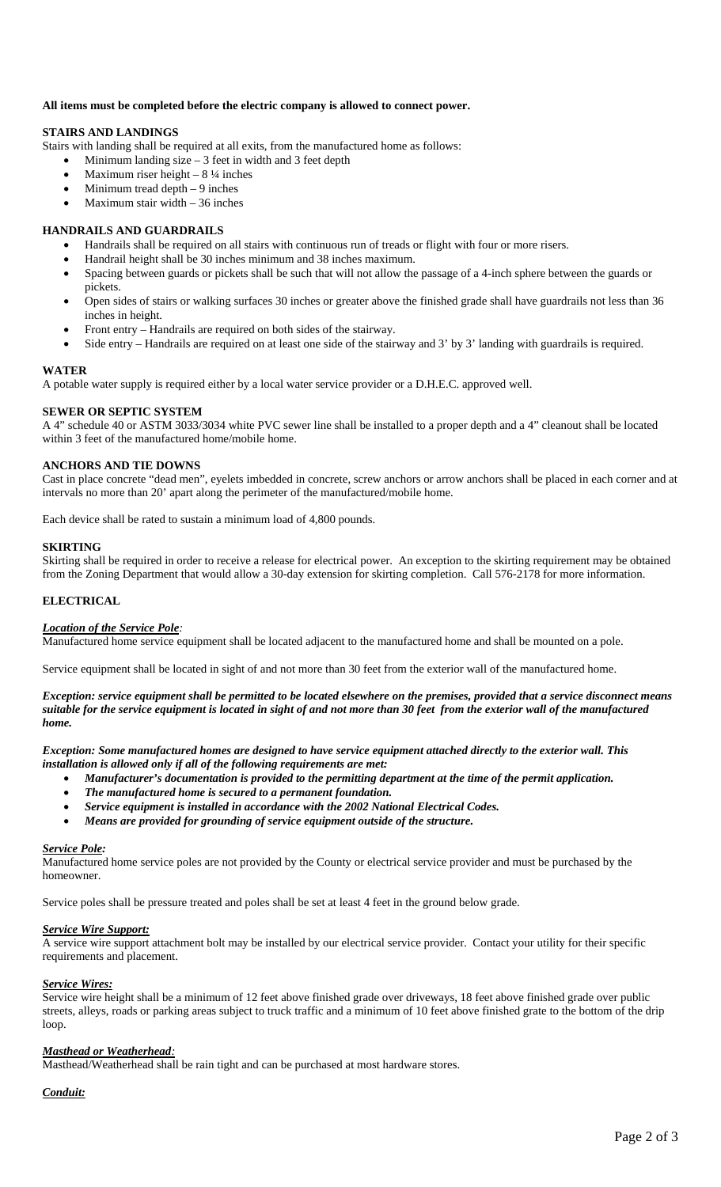## **All items must be completed before the electric company is allowed to connect power.**

## **STAIRS AND LANDINGS**

Stairs with landing shall be required at all exits, from the manufactured home as follows:

- Minimum landing size 3 feet in width and 3 feet depth
- Maximum riser height  $8\frac{1}{4}$  inches
- Minimum tread depth  $-9$  inches
- Maximum stair width  $-36$  inches

## **HANDRAILS AND GUARDRAILS**

- Handrails shall be required on all stairs with continuous run of treads or flight with four or more risers.
- Handrail height shall be 30 inches minimum and 38 inches maximum.
- Spacing between guards or pickets shall be such that will not allow the passage of a 4-inch sphere between the guards or pickets.
- Open sides of stairs or walking surfaces 30 inches or greater above the finished grade shall have guardrails not less than 36 inches in height.
- Front entry Handrails are required on both sides of the stairway.
- Side entry Handrails are required on at least one side of the stairway and 3' by 3' landing with guardrails is required.

## **WATER**

A potable water supply is required either by a local water service provider or a D.H.E.C. approved well.

### **SEWER OR SEPTIC SYSTEM**

A 4" schedule 40 or ASTM 3033/3034 white PVC sewer line shall be installed to a proper depth and a 4" cleanout shall be located within 3 feet of the manufactured home/mobile home.

### **ANCHORS AND TIE DOWNS**

Cast in place concrete "dead men", eyelets imbedded in concrete, screw anchors or arrow anchors shall be placed in each corner and at intervals no more than 20' apart along the perimeter of the manufactured/mobile home.

Each device shall be rated to sustain a minimum load of 4,800 pounds.

## **SKIRTING**

Skirting shall be required in order to receive a release for electrical power. An exception to the skirting requirement may be obtained from the Zoning Department that would allow a 30-day extension for skirting completion. Call 576-2178 for more information.

## **ELECTRICAL**

### *Location of the Service Pole:*

Manufactured home service equipment shall be located adjacent to the manufactured home and shall be mounted on a pole.

Service equipment shall be located in sight of and not more than 30 feet from the exterior wall of the manufactured home.

*Exception: service equipment shall be permitted to be located elsewhere on the premises, provided that a service disconnect means suitable for the service equipment is located in sight of and not more than 30 feet from the exterior wall of the manufactured home.* 

*Exception: Some manufactured homes are designed to have service equipment attached directly to the exterior wall. This installation is allowed only if all of the following requirements are met:* 

- *Manufacturer's documentation is provided to the permitting department at the time of the permit application.*
- *The manufactured home is secured to a permanent foundation.*
- *Service equipment is installed in accordance with the 2002 National Electrical Codes.*
- *Means are provided for grounding of service equipment outside of the structure.*

### *Service Pole:*

Manufactured home service poles are not provided by the County or electrical service provider and must be purchased by the homeowner.

Service poles shall be pressure treated and poles shall be set at least 4 feet in the ground below grade.

## *Service Wire Support:*

A service wire support attachment bolt may be installed by our electrical service provider. Contact your utility for their specific requirements and placement.

## *Service Wires:*

Service wire height shall be a minimum of 12 feet above finished grade over driveways, 18 feet above finished grade over public streets, alleys, roads or parking areas subject to truck traffic and a minimum of 10 feet above finished grate to the bottom of the drip loop.

## *Masthead or Weatherhead:*

Masthead/Weatherhead shall be rain tight and can be purchased at most hardware stores.

## *Conduit:*